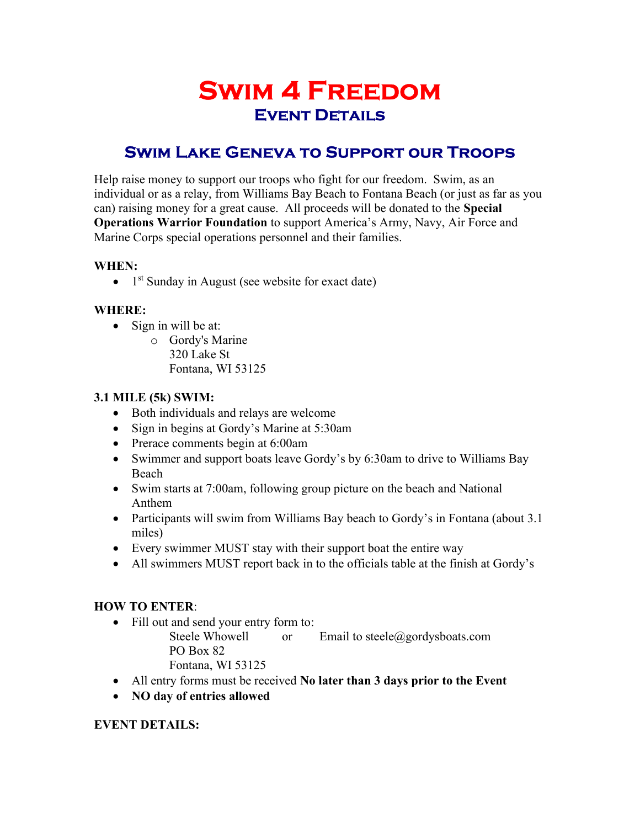# Swim 4 Freedom Event Details

# Swim Lake Geneva to Support our Troops

Help raise money to support our troops who fight for our freedom. Swim, as an individual or as a relay, from Williams Bay Beach to Fontana Beach (or just as far as you can) raising money for a great cause. All proceeds will be donated to the Special Operations Warrior Foundation to support America's Army, Navy, Air Force and Marine Corps special operations personnel and their families.

#### WHEN:

 $\bullet$  1<sup>st</sup> Sunday in August (see website for exact date)

## WHERE:

- $\bullet$  Sign in will be at:
	- o Gordy's Marine 320 Lake St Fontana, WI 53125

#### 3.1 MILE (5k) SWIM:

- Both individuals and relays are welcome
- Sign in begins at Gordy's Marine at 5:30am
- Prerace comments begin at 6:00am
- Swimmer and support boats leave Gordy's by 6:30am to drive to Williams Bay Beach
- Swim starts at 7:00am, following group picture on the beach and National Anthem
- Participants will swim from Williams Bay beach to Gordy's in Fontana (about 3.1) miles)
- Every swimmer MUST stay with their support boat the entire way
- All swimmers MUST report back in to the officials table at the finish at Gordy's

## HOW TO ENTER:

• Fill out and send your entry form to:

Steele Whowell or Email to steele@gordysboats.com PO Box 82

Fontana, WI 53125

- All entry forms must be received No later than 3 days prior to the Event
- NO day of entries allowed

#### EVENT DETAILS: